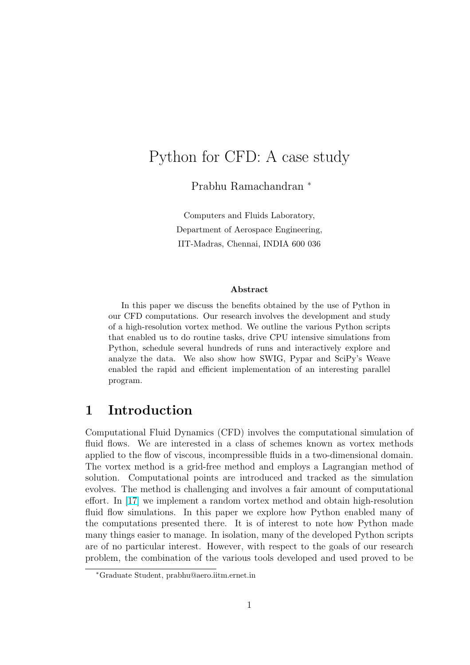# Python for CFD: A case study

Prabhu Ramachandran <sup>∗</sup>

Computers and Fluids Laboratory, Department of Aerospace Engineering, IIT-Madras, Chennai, INDIA 600 036

#### Abstract

In this paper we discuss the benefits obtained by the use of Python in our CFD computations. Our research involves the development and study of a high-resolution vortex method. We outline the various Python scripts that enabled us to do routine tasks, drive CPU intensive simulations from Python, schedule several hundreds of runs and interactively explore and analyze the data. We also show how SWIG, Pypar and SciPy's Weave enabled the rapid and efficient implementation of an interesting parallel program.

## 1 Introduction

Computational Fluid Dynamics (CFD) involves the computational simulation of fluid flows. We are interested in a class of schemes known as vortex methods applied to the flow of viscous, incompressible fluids in a two-dimensional domain. The vortex method is a grid-free method and employs a Lagrangian method of solution. Computational points are introduced and tracked as the simulation evolves. The method is challenging and involves a fair amount of computational effort. In [17] we implement a random vortex method and obtain high-resolution fluid flow simulations. In this paper we explore how Python enabled many of the computations presented there. It is of interest to note how Python made many thin[gs e](#page-16-0)asier to manage. In isolation, many of the developed Python scripts are of no particular interest. However, with respect to the goals of our research problem, the combination of the various tools developed and used proved to be

<sup>∗</sup>Graduate Student, prabhu@aero.iitm.ernet.in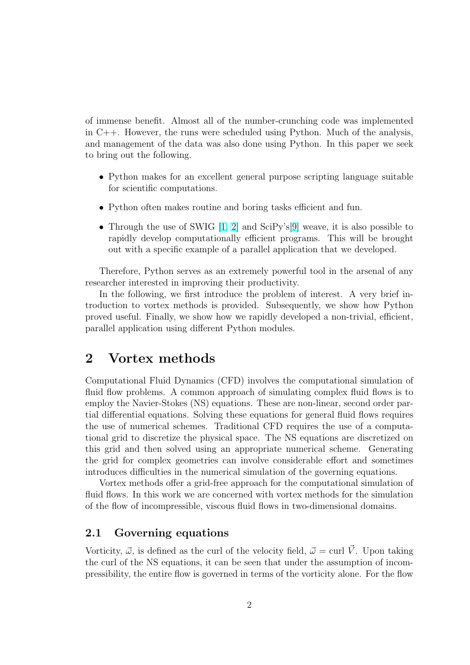<span id="page-1-0"></span>of immense benefit. Almost all of the number-crunching code was implemented in C++. However, the runs were scheduled using Python. Much of the analysis, and management of the data was also done using Python. In this paper we seek to bring out the following.

- Python makes for an excellent general purpose scripting language suitable for scientific computations.
- Python often makes routine and boring tasks efficient and fun.
- Through the use of SWIG [1, 2] and SciPy's[9] weave, it is also possible to rapidly develop computationally efficient programs. This will be brought out with a specific example of a parallel application that we developed.

Therefore, Python serves as [an](#page-15-0) [ex](#page-15-0)tremely pow[erf](#page-16-0)ul tool in the arsenal of any researcher interested in improving their productivity.

In the following, we first introduce the problem of interest. A very brief introduction to vortex methods is provided. Subsequently, we show how Python proved useful. Finally, we show how we rapidly developed a non-trivial, efficient, parallel application using different Python modules.

## 2 Vortex methods

Computational Fluid Dynamics (CFD) involves the computational simulation of fluid flow problems. A common approach of simulating complex fluid flows is to employ the Navier-Stokes (NS) equations. These are non-linear, second order partial differential equations. Solving these equations for general fluid flows requires the use of numerical schemes. Traditional CFD requires the use of a computational grid to discretize the physical space. The NS equations are discretized on this grid and then solved using an appropriate numerical scheme. Generating the grid for complex geometries can involve considerable effort and sometimes introduces difficulties in the numerical simulation of the governing equations.

Vortex methods offer a grid-free approach for the computational simulation of fluid flows. In this work we are concerned with vortex methods for the simulation of the flow of incompressible, viscous fluid flows in two-dimensional domains.

### 2.1 Governing equations

Vorticity,  $\vec{\omega}$ , is defined as the curl of the velocity field,  $\vec{\omega} = \text{curl } \vec{V}$ . Upon taking the curl of the NS equations, it can be seen that under the assumption of incompressibility, the entire flow is governed in terms of the vorticity alone. For the flow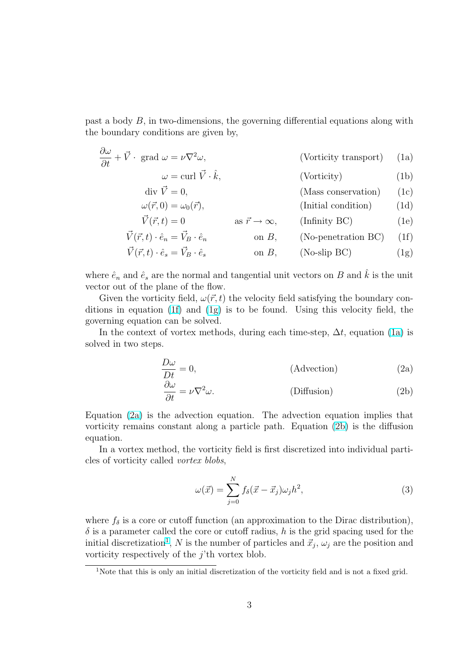<span id="page-2-0"></span>past a body B, in two-dimensions, the governing differential equations along with the boundary conditions are given by,

$$
\frac{\partial \omega}{\partial t} + \vec{V} \cdot \text{grad } \omega = \nu \nabla^2 \omega,
$$
 (Vorticity transport) (1a)

$$
\omega = \text{curl } \vec{V} \cdot \hat{k}, \qquad \qquad \text{(Vorticity)} \tag{1b}
$$

$$
\text{div } \vec{V} = 0, \qquad \qquad \text{(Mass conservation)} \qquad (1c)
$$

$$
\omega(\vec{r},0) = \omega_0(\vec{r}), \qquad \text{(Initial condition)} \qquad (1d)
$$

$$
\vec{V}(\vec{r},t) = 0 \qquad \text{as } \vec{r} \to \infty, \qquad \text{(Infinity BC)} \tag{1e}
$$

$$
\vec{V}(\vec{r},t) \cdot \hat{e}_n = \vec{V}_B \cdot \hat{e}_n \qquad \text{on } B, \qquad \text{(No-penetration BC)} \qquad (1f)
$$

$$
\vec{V}(\vec{r},t) \cdot \hat{e}_s = \vec{V}_B \cdot \hat{e}_s \qquad \text{on } B, \qquad \text{(No-slip BC)} \tag{1g}
$$

where  $\hat{e}_n$  and  $\hat{e}_s$  are the normal and tangential unit vectors on B and  $\hat{k}$  is the unit vector out of the plane of the flow.

Given the vorticity field,  $\omega(\vec{r}, t)$  the velocity field satisfying the boundary conditions in equation (1f) and (1g) is to be found. Using this velocity field, the governing equation can be solved.

In the context of vortex methods, during each time-step,  $\Delta t$ , equation (1a) is solved in two steps.

$$
\frac{D\omega}{Dt} = 0,\tag{Advection}
$$
\n
$$
\frac{\partial\omega}{\partial t} = 0,\tag{2a}
$$

$$
\frac{\partial \omega}{\partial t} = \nu \nabla^2 \omega.
$$
 (Diffusion) (2b)

Equation (2a) is the advection equation. The advection equation implies that vorticity remains constant along a particle path. Equation (2b) is the diffusion equation.

In a vortex method, the vorticity field is first discretized into individual particles of vorticity called vortex blobs,

$$
\omega(\vec{x}) = \sum_{j=0}^{N} f_{\delta}(\vec{x} - \vec{x}_j) \omega_j h^2, \qquad (3)
$$

where  $f_{\delta}$  is a core or cutoff function (an approximation to the Dirac distribution),  $\delta$  is a parameter called the core or cutoff radius, h is the grid spacing used for the initial discretization<sup>1</sup>, N is the number of particles and  $\vec{x}_j$ ,  $\omega_j$  are the position and vorticity respectively of the  $j$ <sup>th</sup> vortex blob.

<sup>1</sup>Note that this is only an initial discretization of the vorticity field and is not a fixed grid.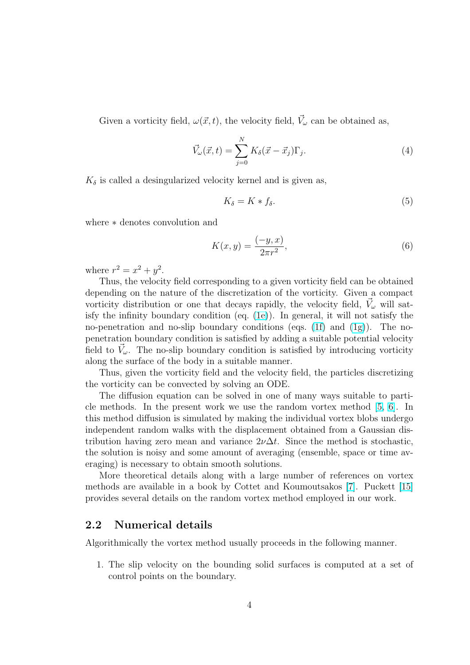Given a vorticity field,  $\omega(\vec{x}, t)$ , the velocity field,  $\vec{V}_{\omega}$  can be obtained as,

$$
\vec{V}_{\omega}(\vec{x},t) = \sum_{j=0}^{N} K_{\delta}(\vec{x} - \vec{x}_j) \Gamma_j.
$$
 (4)

 $K_{\delta}$  is called a desingularized velocity kernel and is given as,

$$
K_{\delta} = K * f_{\delta}.\tag{5}
$$

where ∗ denotes convolution and

$$
K(x, y) = \frac{(-y, x)}{2\pi r^2},
$$
\n(6)

where  $r^2 = x^2 + y^2$ .

Thus, the velocity field corresponding to a given vorticity field can be obtained depending on the nature of the discretization of the vorticity. Given a compact vorticity distribution or one that decays rapidly, the velocity field,  $\vec{V}_{\omega}$  will satisfy the infinity boundary condition (eq. (1e)). In general, it will not satisfy the no-penetration and no-slip boundary conditions (eqs.  $(1f)$  and  $(1g)$ ). The nopenetration boundary condition is satisfied by adding a suitable potential velocity field to  $\vec{V}_{\omega}$ . The no-slip boundary condit[ion](#page-2-0) is satisfied by introducing vorticity along the surface of the body in a suitable manner.

Thus, given the vorticity field and the velocity field, [the](#page-2-0) parti[cles](#page-2-0) discretizing the vorticity can be convected by solving an ODE.

The diffusion equation can be solved in one of many ways suitable to particle methods. In the present work we use the random vortex method [5, 6]. In this method diffusion is simulated by making the individual vortex blobs undergo independent random walks with the displacement obtained from a Gaussian distribution [ha](#page-16-0)ving zero mean and variance  $2\nu\Delta t$ . Since the method is s[to](#page-15-0)chastic, the solution is noisy and some amount of averaging (ensemble, space or time averaging) is necessary to obtain smooth solutions.

More theoretical details along with a large number of references on vortex methods are available in a book by Cottet and Koumoutsakos [7]. Puckett [15] provides several details on the random vortex method employed in our work.

### 2.2 Numerical details

Algorithmically the vortex method usually proceeds in the following manner.

1. The slip velocity on the bounding solid surfaces is computed at a set of control points on the boundary.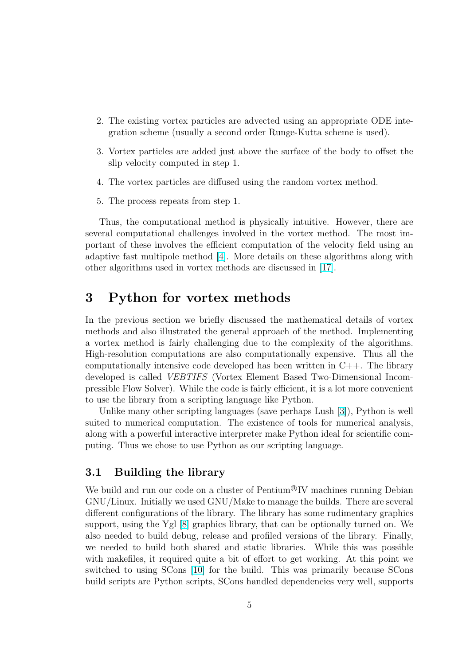- 2. The existing vortex particles are advected using an appropriate ODE integration scheme (usually a second order Runge-Kutta scheme is used).
- 3. Vortex particles are added just above the surface of the body to offset the slip velocity computed in step 1.
- 4. The vortex particles are diffused using the random vortex method.
- 5. The process repeats from step 1.

Thus, the computational method is physically intuitive. However, there are several computational challenges involved in the vortex method. The most important of these involves the efficient computation of the velocity field using an adaptive fast multipole method [4]. More details on these algorithms along with other algorithms used in vortex methods are discussed in [17].

## 3 Python for vort[ex](#page-15-0) methods

In the previous section we briefly discussed the mathematical details of vortex methods and also illustrated the general approach of the method. Implementing a vortex method is fairly challenging due to the complexity of the algorithms. High-resolution computations are also computationally expensive. Thus all the computationally intensive code developed has been written in  $C_{++}$ . The library developed is called VEBTIFS (Vortex Element Based Two-Dimensional Incompressible Flow Solver). While the code is fairly efficient, it is a lot more convenient to use the library from a scripting language like Python.

Unlike many other scripting languages (save perhaps Lush [3]), Python is well suited to numerical computation. The existence of tools for numerical analysis, along with a powerful interactive interpreter make Python ideal for scientific computing. Thus we chose to use Python as our scripting languag[e.](#page-15-0)

### 3.1 Building the library

We build and run our code on a cluster of Pentium<sup>®</sup>IV machines running Debian GNU/Linux. Initially we used GNU/Make to manage the builds. There are several different configurations of the library. The library has some rudimentary graphics support, using the Ygl [8] graphics library, that can be optionally turned on. We also needed to build debug, release and profiled versions of the library. Finally, we needed to build both shared and static libraries. While this was possible with makefiles, it requi[red](#page-16-0) quite a bit of effort to get working. At this point we switched to using SCons [10] for the build. This was primarily because SCons build scripts are Python scripts, SCons handled dependencies very well, supports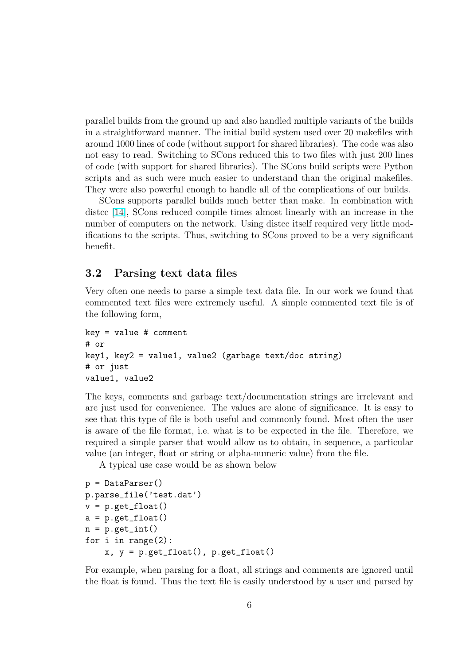<span id="page-5-0"></span>parallel builds from the ground up and also handled multiple variants of the builds in a straightforward manner. The initial build system used over 20 makefiles with around 1000 lines of code (without support for shared libraries). The code was also not easy to read. Switching to SCons reduced this to two files with just 200 lines of code (with support for shared libraries). The SCons build scripts were Python scripts and as such were much easier to understand than the original makefiles. They were also powerful enough to handle all of the complications of our builds.

SCons supports parallel builds much better than make. In combination with distcc [14], SCons reduced compile times almost linearly with an increase in the number of computers on the network. Using distcc itself required very little modifications to the scripts. Thus, switching to SCons proved to be a very significant benefit[.](#page-16-0)

### 3.2 Parsing text data files

Very often one needs to parse a simple text data file. In our work we found that commented text files were extremely useful. A simple commented text file is of the following form,

```
key = value # comment# or
key1, key2 = value1, value2 (garbage text/doc string)
# or just
value1, value2
```
The keys, comments and garbage text/documentation strings are irrelevant and are just used for convenience. The values are alone of significance. It is easy to see that this type of file is both useful and commonly found. Most often the user is aware of the file format, i.e. what is to be expected in the file. Therefore, we required a simple parser that would allow us to obtain, in sequence, a particular value (an integer, float or string or alpha-numeric value) from the file.

A typical use case would be as shown below

```
p = DataParser()
p.parse_file('test.dat')
v = p.get_fload()a = p.get_fload()n = p.get-int()for i in range(2):
    x, y = p.get_fload(), p.get_fload()
```
For example, when parsing for a float, all strings and comments are ignored until the float is found. Thus the text file is easily understood by a user and parsed by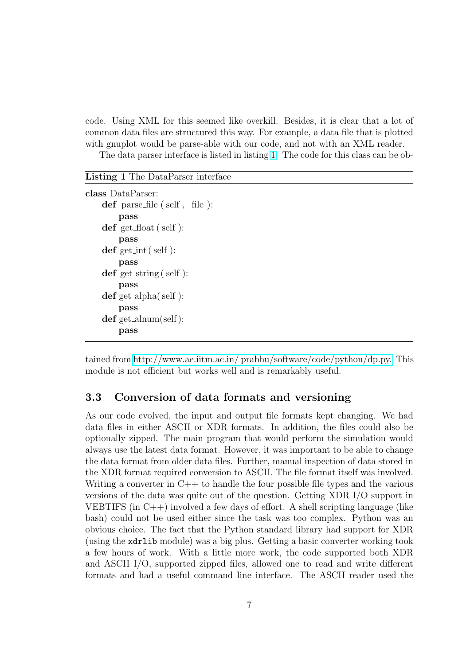code. Using XML for this seemed like overkill. Besides, it is clear that a lot of common data files are structured this way. For example, a data file that is plotted with gnuplot would be parse-able with our code, and not with an XML reader. The data parser interface is listed in listing 1 The code for this class can be ob-

#### Listing 1 The DataParser interface

```
class DataParser:
    def parse file ( self , file ):
        pass
    def get float (self):
        pass
    def get_int (self):
        pass
    def get_string (self):
        pass
    def get alpha( self ):
        pass
    def get alnum(self ):
        pass
```
tained from http://www.ae.iitm.ac.in/ prabhu/software/code/python/dp.py. This module is not efficient but works well and is remarkably useful.

## 3.3 Co[nversion of data formats and versioning](http://www.ae.iitm.ac.in/~prabhu/software/code/python/dp.py)

As our code evolved, the input and output file formats kept changing. We had data files in either ASCII or XDR formats. In addition, the files could also be optionally zipped. The main program that would perform the simulation would always use the latest data format. However, it was important to be able to change the data format from older data files. Further, manual inspection of data stored in the XDR format required conversion to ASCII. The file format itself was involved. Writing a converter in  $C++$  to handle the four possible file types and the various versions of the data was quite out of the question. Getting XDR I/O support in VEBTIFS (in C++) involved a few days of effort. A shell scripting language (like bash) could not be used either since the task was too complex. Python was an obvious choice. The fact that the Python standard library had support for XDR (using the xdrlib module) was a big plus. Getting a basic converter working took a few hours of work. With a little more work, the code supported both XDR and ASCII I/O, supported zipped files, allowed one to read and write different formats and had a useful command line interface. The ASCII reader used the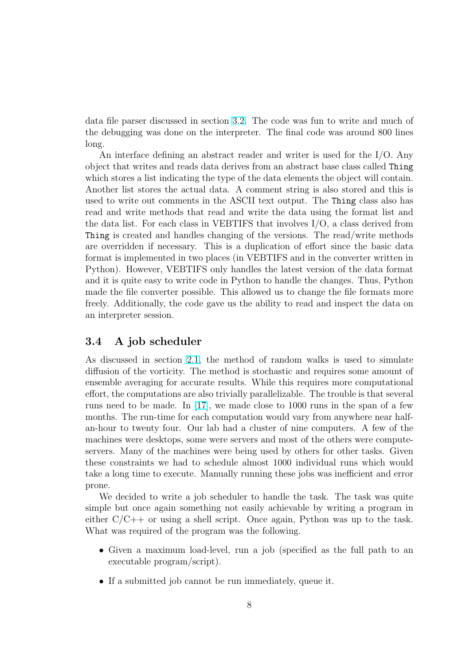data file parser discussed in section 3.2. The code was fun to write and much of the debugging was done on the interpreter. The final code was around 800 lines long.

An interface defining an abstrac[t re](#page-5-0)ader and writer is used for the I/O. Any object that writes and reads data derives from an abstract base class called Thing which stores a list indicating the type of the data elements the object will contain. Another list stores the actual data. A comment string is also stored and this is used to write out comments in the ASCII text output. The Thing class also has read and write methods that read and write the data using the format list and the data list. For each class in VEBTIFS that involves I/O, a class derived from Thing is created and handles changing of the versions. The read/write methods are overridden if necessary. This is a duplication of effort since the basic data format is implemented in two places (in VEBTIFS and in the converter written in Python). However, VEBTIFS only handles the latest version of the data format and it is quite easy to write code in Python to handle the changes. Thus, Python made the file converter possible. This allowed us to change the file formats more freely. Additionally, the code gave us the ability to read and inspect the data on an interpreter session.

### 3.4 A job scheduler

As discussed in section 2.1, the method of random walks is used to simulate diffusion of the vorticity. The method is stochastic and requires some amount of ensemble averaging for accurate results. While this requires more computational effort, the computations [are a](#page-1-0)lso trivially parallelizable. The trouble is that several runs need to be made. In [17], we made close to 1000 runs in the span of a few months. The run-time for each computation would vary from anywhere near halfan-hour to twenty four. Our lab had a cluster of nine computers. A few of the machines were desktops, so[me](#page-16-0) were servers and most of the others were computeservers. Many of the machines were being used by others for other tasks. Given these constraints we had to schedule almost 1000 individual runs which would take a long time to execute. Manually running these jobs was inefficient and error prone.

We decided to write a job scheduler to handle the task. The task was quite simple but once again something not easily achievable by writing a program in either  $C/C++$  or using a shell script. Once again, Python was up to the task. What was required of the program was the following.

- Given a maximum load-level, run a job (specified as the full path to an executable program/script).
- If a submitted job cannot be run immediately, queue it.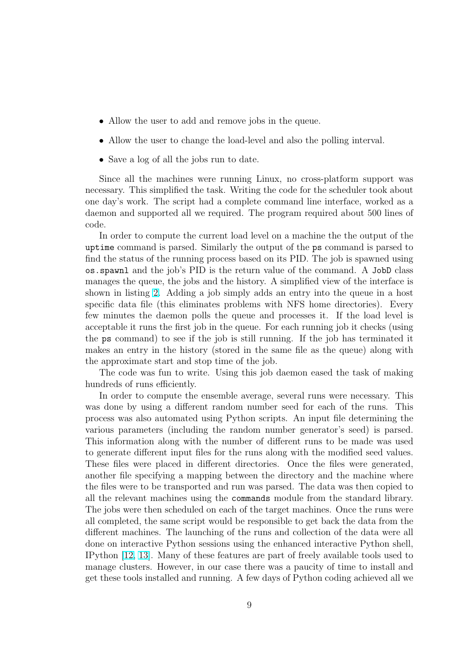- Allow the user to add and remove jobs in the queue.
- Allow the user to change the load-level and also the polling interval.
- Save a log of all the jobs run to date.

Since all the machines were running Linux, no cross-platform support was necessary. This simplified the task. Writing the code for the scheduler took about one day's work. The script had a complete command line interface, worked as a daemon and supported all we required. The program required about 500 lines of code.

In order to compute the current load level on a machine the the output of the uptime command is parsed. Similarly the output of the ps command is parsed to find the status of the running process based on its PID. The job is spawned using os.spawnl and the job's PID is the return value of the command. A JobD class manages the queue, the jobs and the history. A simplified view of the interface is shown in listing 2. Adding a job simply adds an entry into the queue in a host specific data file (this eliminates problems with NFS home directories). Every few minutes the daemon polls the queue and processes it. If the load level is acceptable it ru[ns](#page-9-0) the first job in the queue. For each running job it checks (using the ps command) to see if the job is still running. If the job has terminated it makes an entry in the history (stored in the same file as the queue) along with the approximate start and stop time of the job.

The code was fun to write. Using this job daemon eased the task of making hundreds of runs efficiently.

In order to compute the ensemble average, several runs were necessary. This was done by using a different random number seed for each of the runs. This process was also automated using Python scripts. An input file determining the various parameters (including the random number generator's seed) is parsed. This information along with the number of different runs to be made was used to generate different input files for the runs along with the modified seed values. These files were placed in different directories. Once the files were generated, another file specifying a mapping between the directory and the machine where the files were to be transported and run was parsed. The data was then copied to all the relevant machines using the commands module from the standard library. The jobs were then scheduled on each of the target machines. Once the runs were all completed, the same script would be responsible to get back the data from the different machines. The launching of the runs and collection of the data were all done on interactive Python sessions using the enhanced interactive Python shell, IPython [12, 13]. Many of these features are part of freely available tools used to manage clusters. However, in our case there was a paucity of time to install and get these tools installed and running. A few days of Python coding achieved all we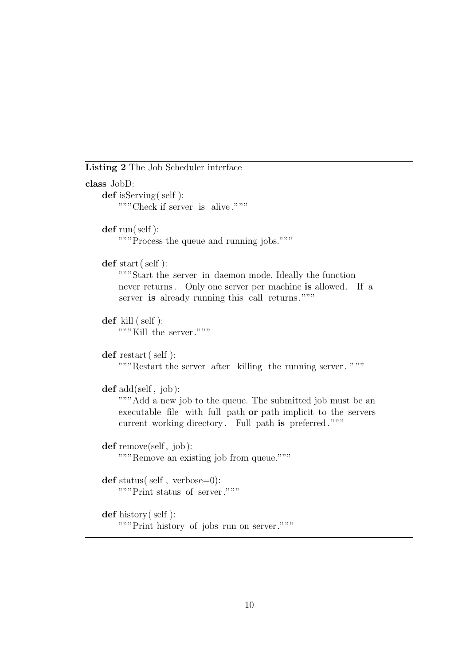<span id="page-9-0"></span>Listing 2 The Job Scheduler interface

```
class JobD:
    def isServing( self ):
       """Check if server is alive ."""
    def run(self):
       """Process the queue and running jobs."""
    def start (self):
       """Start the server in daemon mode. Ideally the function
        never returns. Only one server per machine is allowed. If a
        server is already running this call returns."""
    def kill ( self ):
        """Kill the server."""
    def restart (self):
        """Restart the server after killing the running server. """
    def add(self, job):
       """Add a new job to the queue. The submitted job must be an
        executable file with full path or path implicit to the servers
        current working directory. Full path is preferred."""
    def remove(self, job):
        """Remove an existing job from queue."""
    def status( self , verbose=0):
        """Print status of server."""
    def history(self):
       """Print history of jobs run on server."""
```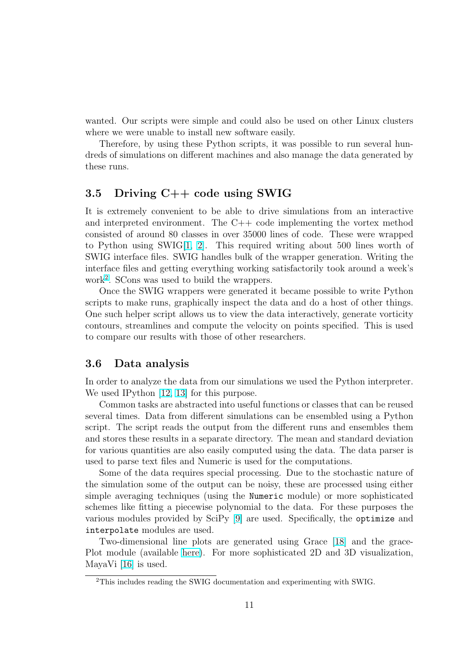wanted. Our scripts were simple and could also be used on other Linux clusters where we were unable to install new software easily.

Therefore, by using these Python scripts, it was possible to run several hundreds of simulations on different machines and also manage the data generated by these runs.

### 3.5 Driving C++ code using SWIG

It is extremely convenient to be able to drive simulations from an interactive and interpreted environment. The C++ code implementing the vortex method consisted of around 80 classes in over 35000 lines of code. These were wrapped to Python using SWIG[1, 2]. This required writing about 500 lines worth of SWIG interface files. SWIG handles bulk of the wrapper generation. Writing the interface files and getting everything working satisfactorily took around a week's work<sup>2</sup> . SCons was used [to](#page-15-0) [bu](#page-15-0)ild the wrappers.

Once the SWIG wrappers were generated it became possible to write Python scripts to make runs, graphically inspect the data and do a host of other things. One such helper script allows us to view the data interactively, generate vorticity contours, streamlines and compute the velocity on points specified. This is used to compare our results with those of other researchers.

### 3.6 Data analysis

In order to analyze the data from our simulations we used the Python interpreter. We used IPython [12, 13] for this purpose.

Common tasks are abstracted into useful functions or classes that can be reused several times. Data from different simulations can be ensembled using a Python script. The script [reads](#page-16-0) the output from the different runs and ensembles them and stores these results in a separate directory. The mean and standard deviation for various quantities are also easily computed using the data. The data parser is used to parse text files and Numeric is used for the computations.

Some of the data requires special processing. Due to the stochastic nature of the simulation some of the output can be noisy, these are processed using either simple averaging techniques (using the Numeric module) or more sophisticated schemes like fitting a piecewise polynomial to the data. For these purposes the various modules provided by SciPy [9] are used. Specifically, the optimize and interpolate modules are used.

Two-dimensional line plots are generated using Grace [18] and the grace-Plot module (available here). For [mo](#page-16-0)re sophisticated 2D and 3D visualization, MayaVi [16] is used.

<sup>2</sup>This includes reading the SWIG documentation and experimenting [with](#page-16-0) SWIG.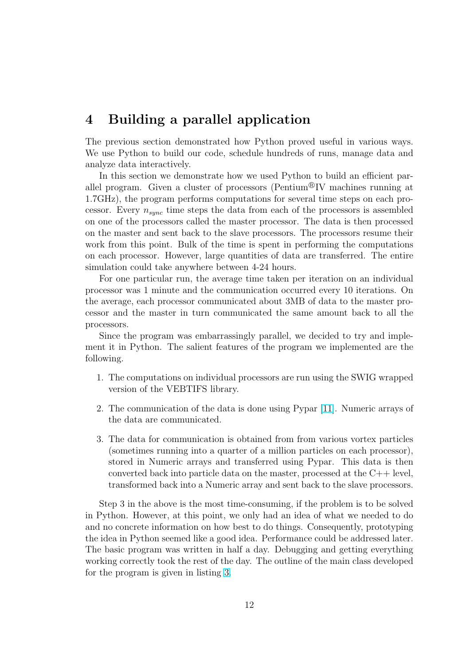## 4 Building a parallel application

The previous section demonstrated how Python proved useful in various ways. We use Python to build our code, schedule hundreds of runs, manage data and analyze data interactively.

In this section we demonstrate how we used Python to build an efficient parallel program. Given a cluster of processors (Pentium<sup>®</sup>IV machines running at 1.7GHz), the program performs computations for several time steps on each processor. Every  $n_{sync}$  time steps the data from each of the processors is assembled on one of the processors called the master processor. The data is then processed on the master and sent back to the slave processors. The processors resume their work from this point. Bulk of the time is spent in performing the computations on each processor. However, large quantities of data are transferred. The entire simulation could take anywhere between 4-24 hours.

For one particular run, the average time taken per iteration on an individual processor was 1 minute and the communication occurred every 10 iterations. On the average, each processor communicated about 3MB of data to the master processor and the master in turn communicated the same amount back to all the processors.

Since the program was embarrassingly parallel, we decided to try and implement it in Python. The salient features of the program we implemented are the following.

- 1. The computations on individual processors are run using the SWIG wrapped version of the VEBTIFS library.
- 2. The communication of the data is done using Pypar [11]. Numeric arrays of the data are communicated.
- 3. The data for communication is obtained from from various vortex particles (sometimes running into a quarter of a million parti[cles](#page-16-0) on each processor), stored in Numeric arrays and transferred using Pypar. This data is then converted back into particle data on the master, processed at the C++ level, transformed back into a Numeric array and sent back to the slave processors.

Step 3 in the above is the most time-consuming, if the problem is to be solved in Python. However, at this point, we only had an idea of what we needed to do and no concrete information on how best to do things. Consequently, prototyping the idea in Python seemed like a good idea. Performance could be addressed later. The basic program was written in half a day. Debugging and getting everything working correctly took the rest of the day. The outline of the main class developed for the program is given in listing 3.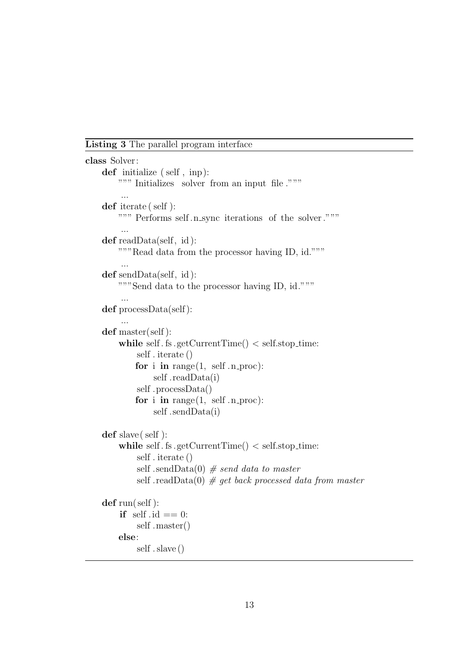Listing 3 The parallel program interface

```
class Solver:
    def initialize ( self , inp ):
         """ Initializes solver from an input file ."""
         ...
    def iterate ( self ):
        """ Performs self .n sync iterations of the solver ."""
         ...
    def readData(self, id ):
         """Read data from the processor having ID, id."""
         ...
    def sendData(self, id ):
        """Send data to the processor having ID, id."""
          ...
    def processData(self ):
         ...
    def master(self ):
         while self f is \text{getCurrentTime}() < \text{self-stop_time}:
             self . iterate ()
             for i in range(1, \text{ self.n-proc}):
                  self .readData(i)
             self .processData()
             for i in range(1, \text{ self.n\_proc}):
                  self .sendData(i)
    def slave( self ):
         while self. fs .getCurrentTime() \langle self.stop_time:
             self . iterate ()
             self .sendData(0) # send data to master
             self .readData(0) # get back processed data from master
    \det run( self):
         if self id == 0:
             self .master()
         else:
             self . slave ()
```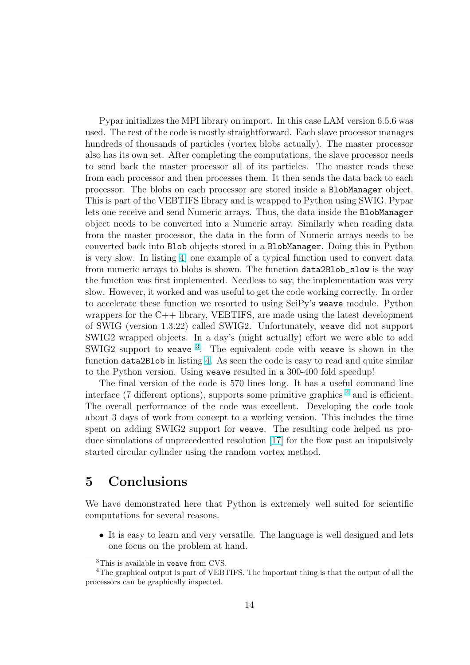Pypar initializes the MPI library on import. In this case LAM version 6.5.6 was used. The rest of the code is mostly straightforward. Each slave processor manages hundreds of thousands of particles (vortex blobs actually). The master processor also has its own set. After completing the computations, the slave processor needs to send back the master processor all of its particles. The master reads these from each processor and then processes them. It then sends the data back to each processor. The blobs on each processor are stored inside a BlobManager object. This is part of the VEBTIFS library and is wrapped to Python using SWIG. Pypar lets one receive and send Numeric arrays. Thus, the data inside the BlobManager object needs to be converted into a Numeric array. Similarly when reading data from the master processor, the data in the form of Numeric arrays needs to be converted back into Blob objects stored in a BlobManager. Doing this in Python is very slow. In listing 4, one example of a typical function used to convert data from numeric arrays to blobs is shown. The function data2Blob\_slow is the way the function was first implemented. Needless to say, the implementation was very slow. However, it work[ed](#page-14-0) and was useful to get the code working correctly. In order to accelerate these function we resorted to using SciPy's weave module. Python wrappers for the  $C++$  library, VEBTIFS, are made using the latest development of SWIG (version 1.3.22) called SWIG2. Unfortunately, weave did not support SWIG2 wrapped objects. In a day's (night actually) effort we were able to add SWIG2 support to weave  $3$ . The equivalent code with weave is shown in the function data2Blob in listing 4. As seen the code is easy to read and quite similar to the Python version. Using weave resulted in a 300-400 fold speedup!

The final version of the code is 570 lines long. It has a useful command line interface (7 different options)[, s](#page-14-0)upports some primitive graphics  $4$  and is efficient. The overall performance of the code was excellent. Developing the code took about 3 days of work from concept to a working version. This includes the time spent on adding SWIG2 support for weave. The resulting code helped us produce simulations of unprecedented resolution [17] for the flow past an impulsively started circular cylinder using the random vortex method.

## 5 Conclusions

We have demonstrated here that Python is extremely well suited for scientific computations for several reasons.

• It is easy to learn and very versatile. The language is well designed and lets one focus on the problem at hand.

<sup>&</sup>lt;sup>3</sup>This is available in weave from CVS.

<sup>4</sup>The graphical output is part of VEBTIFS. The important thing is that the output of all the processors can be graphically inspected.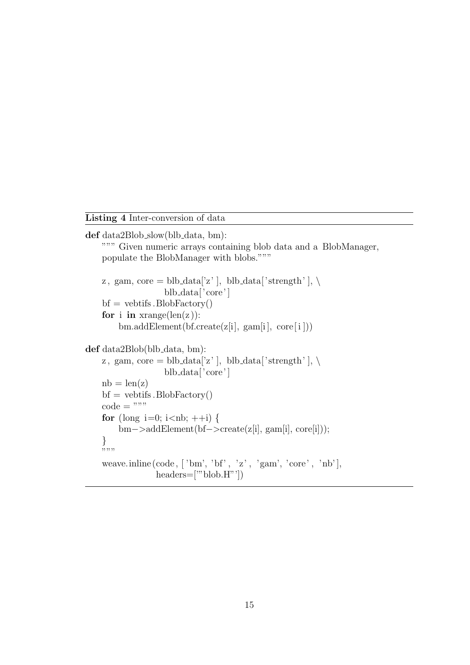<span id="page-14-0"></span>Listing 4 Inter-conversion of data

```
def data2Blob_slow(blb_data, bm):
    """ Given numeric arrays containing blob data and a BlobManager,
    populate the BlobManager with blobs."""
    z, gam, core = blb_data['z' ], blb_data['strength'], \setminusblb data['core' ]
    bf = vebtifs.BlobFactory()for i in xrange(len(z)):
        bm.addElement(bf.create(z[i], gam[i], core[i]))
def data2Blob(blb_data, bm):
    z, gam, core = blb_data['z' ], blb_data['strength'], \setminusblb data['core' ]
    nb = len(z)bf = vebt if s. BlobFactory()
    code = """"for (long i=0; i<nb; ++i) {
        bm−>addElement(bf−>create(z[i], gam[i], core[i]));
    }
    """
    weave.inline (\text{code}, [\text{'bm'}, 'bf', 'z', 'gam', 'core', 'nb'],headers=['"blob.H"'])
```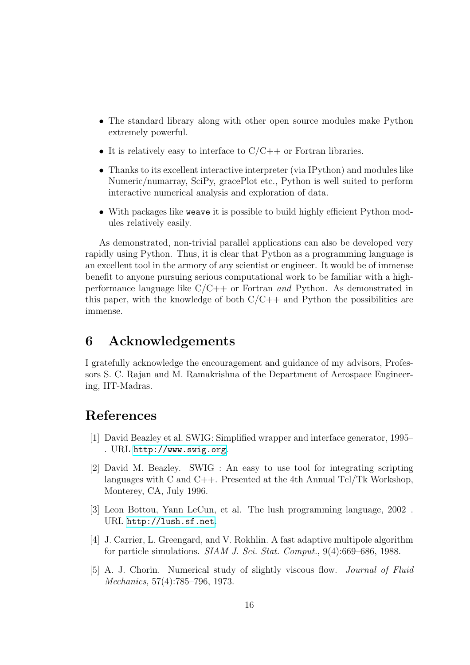- <span id="page-15-0"></span>• The standard library along with other open source modules make Python extremely powerful.
- It is relatively easy to interface to  $C/C++$  or Fortran libraries.
- Thanks to its excellent interactive interpreter (via IPython) and modules like Numeric/numarray, SciPy, gracePlot etc., Python is well suited to perform interactive numerical analysis and exploration of data.
- With packages like weave it is possible to build highly efficient Python modules relatively easily.

As demonstrated, non-trivial parallel applications can also be developed very rapidly using Python. Thus, it is clear that Python as a programming language is an excellent tool in the armory of any scientist or engineer. It would be of immense benefit to anyone pursuing serious computational work to be familiar with a highperformance language like  $C/C++$  or Fortran *and* Python. As demonstrated in this paper, with the knowledge of both  $C/C++$  and Python the possibilities are immense.

## 6 Acknowledgements

I gratefully acknowledge the encouragement and guidance of my advisors, Professors S. C. Rajan and M. Ramakrishna of the Department of Aerospace Engineering, IIT-Madras.

## References

- [1] David Beazley et al. SWIG: Simplified wrapper and interface generator, 1995– . URL http://www.swig.org.
- [2] David M. Beazley. SWIG : An easy to use tool for integrating scripting languages with C and C++. Presented at the 4th Annual Tcl/Tk Workshop, Monte[rey, CA, July 1996.](http://www.swig.org)
- [3] Leon Bottou, Yann LeCun, et al. The lush programming language, 2002–. URL http://lush.sf.net.
- [4] J. Carrier, L. Greengard, and V. Rokhlin. A fast adaptive multipole algorithm for particle simulations. SIAM J. Sci. Stat. Comput., 9(4):669–686, 1988.
- [5] A. J. [Chorin. Numerical s](http://lush.sf.net)tudy of slightly viscous flow. Journal of Fluid Mechanics, 57(4):785–796, 1973.